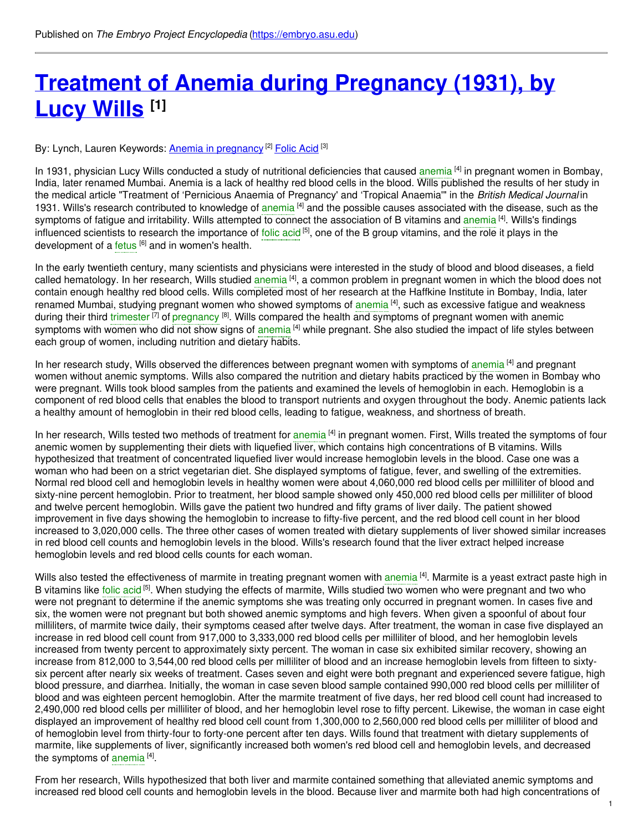# **Treatment of Anemia during [Pregnancy](https://embryo.asu.edu/pages/treatment-anemia-during-pregnancy-1931-lucy-wills) (1931), by Lucy Wills [1]**

By: Lynch, Lauren Keywords: <u>Anemia in [pregnancy](https://embryo.asu.edu/keywords/anemia-pregnancy)</u> <sup>[2]</sup> <u>[Folic](https://embryo.asu.edu/keywords/folic-acid) Acid</u> [3]

In 1931, physician Lucy Wills conducted a study of nutritional deficiencies that caused [anemia](https://embryo.asu.edu/search?text=anemia) <sup>[4]</sup> in pregnant women in Bombay, India, later renamed Mumbai. Anemia is a lack of healthy red blood cells in the blood. Wills published the results of her study in the medical article "Treatment of 'Pernicious Anaemia of Pregnancy' and 'Tropical Anaemia'" in the *British Medical Journal* in 1931. Wills's research contributed to knowledge of [anemia](https://embryo.asu.edu/search?text=anemia)<sup>[4]</sup> and the possible causes associated with the disease, such as the symptoms of fatigue and irritability. Wills attempted to connect the association of B vitamins and [anemia](https://embryo.asu.edu/search?text=anemia) <sup>[4]</sup>. Wills's findings influenced scientists to research the importance of [folic](https://embryo.asu.edu/search?text=folic%20acid) acid<sup>[5]</sup>, one of the B group vitamins, and the role it plays in the development of a [fetus](https://embryo.asu.edu/search?text=fetus) <sup>[6]</sup> and in women's health.

In the early twentieth century, many scientists and physicians were interested in the study of blood and blood diseases, a field called hematology. In her research, Wills studied [anemia](https://embryo.asu.edu/search?text=anemia) <sup>[4]</sup>, a common problem in pregnant women in which the blood does not contain enough healthy red blood cells. Wills completed most of her research at the Haffkine Institute in Bombay, India, later renamed Mumbai, studying pregnant women who showed symptoms of [anemia](https://embryo.asu.edu/search?text=anemia) [4], such as excessive fatigue and weakness during their third [trimester](https://embryo.asu.edu/search?text=trimester) <sup>[7]</sup> of [pregnancy](https://embryo.asu.edu/search?text=pregnancy) <sup>[8]</sup>. Wills compared the health and symptoms of pregnant women with anemic symptoms with women who did not show signs of [anemia](https://embryo.asu.edu/search?text=anemia) <sup>[4]</sup> while pregnant. She also studied the impact of life styles between each group of women, including nutrition and dietary habits.

In her research study, Wills observed the differences between pregnant women with symptoms of [anemia](https://embryo.asu.edu/search?text=anemia)<sup>[4]</sup> and pregnant women without anemic symptoms. Wills also compared the nutrition and dietary habits practiced by the women in Bombay who were pregnant. Wills took blood samples from the patients and examined the levels of hemoglobin in each. Hemoglobin is a component of red blood cells that enables the blood to transport nutrients and oxygen throughout the body. Anemic patients lack a healthy amount of hemoglobin in their red blood cells, leading to fatigue, weakness, and shortness of breath.

In her research, Wills tested two methods of treatment for [anemia](https://embryo.asu.edu/search?text=anemia) <sup>[4]</sup> in pregnant women. First, Wills treated the symptoms of four anemic women by supplementing their diets with liquefied liver, which contains high concentrations of B vitamins. Wills hypothesized that treatment of concentrated liquefied liver would increase hemoglobin levels in the blood. Case one was a woman who had been on a strict vegetarian diet. She displayed symptoms of fatigue, fever, and swelling of the extremities. Normal red blood cell and hemoglobin levels in healthy women were about 4,060,000 red blood cells per milliliter of blood and sixty-nine percent hemoglobin. Prior to treatment, her blood sample showed only 450,000 red blood cells per milliliter of blood and twelve percent hemoglobin. Wills gave the patient two hundred and fifty grams of liver daily. The patient showed improvement in five days showing the hemoglobin to increase to fifty-five percent, and the red blood cell count in her blood increased to 3,020,000 cells. The three other cases of women treated with dietary supplements of liver showed similar increases in red blood cell counts and hemoglobin levels in the blood. Wills's research found that the liver extract helped increase hemoglobin levels and red blood cells counts for each woman.

Wills also tested the effectiveness of marmite in treating pregnant women with [anemia](https://embryo.asu.edu/search?text=anemia) <sup>[4]</sup>. Marmite is a yeast extract paste high in B vitamins like folic [acid](https://embryo.asu.edu/search?text=folic%20acid)<sup>[5]</sup>. When studying the effects of marmite, Wills studied two women who were pregnant and two who were not pregnant to determine if the anemic symptoms she was treating only occurred in pregnant women. In cases five and six, the women were not pregnant but both showed anemic symptoms and high fevers. When given a spoonful of about four milliliters, of marmite twice daily, their symptoms ceased after twelve days. After treatment, the woman in case five displayed an increase in red blood cell count from 917,000 to 3,333,000 red blood cells per milliliter of blood, and her hemoglobin levels increased from twenty percent to approximately sixty percent. The woman in case six exhibited similar recovery, showing an increase from 812,000 to 3,544,00 red blood cells per milliliter of blood and an increase hemoglobin levels from fifteen to sixtysix percent after nearly six weeks of treatment. Cases seven and eight were both pregnant and experienced severe fatigue, high blood pressure, and diarrhea. Initially, the woman in case seven blood sample contained 990,000 red blood cells per milliliter of blood and was eighteen percent hemoglobin. After the marmite treatment of five days, her red blood cell count had increased to 2,490,000 red blood cells per milliliter of blood, and her hemoglobin level rose to fifty percent. Likewise, the woman in case eight displayed an improvement of healthy red blood cell count from 1,300,000 to 2,560,000 red blood cells per milliliter of blood and of hemoglobin level from thirty-four to forty-one percent after ten days. Wills found that treatment with dietary supplements of marmite, like supplements of liver, significantly increased both women's red blood cell and hemoglobin levels, and decreased the symptoms of [anemia](https://embryo.asu.edu/search?text=anemia)<sup>[4]</sup>.

From her research, Wills hypothesized that both liver and marmite contained something that alleviated anemic symptoms and increased red blood cell counts and hemoglobin levels in the blood. Because liver and marmite both had high concentrations of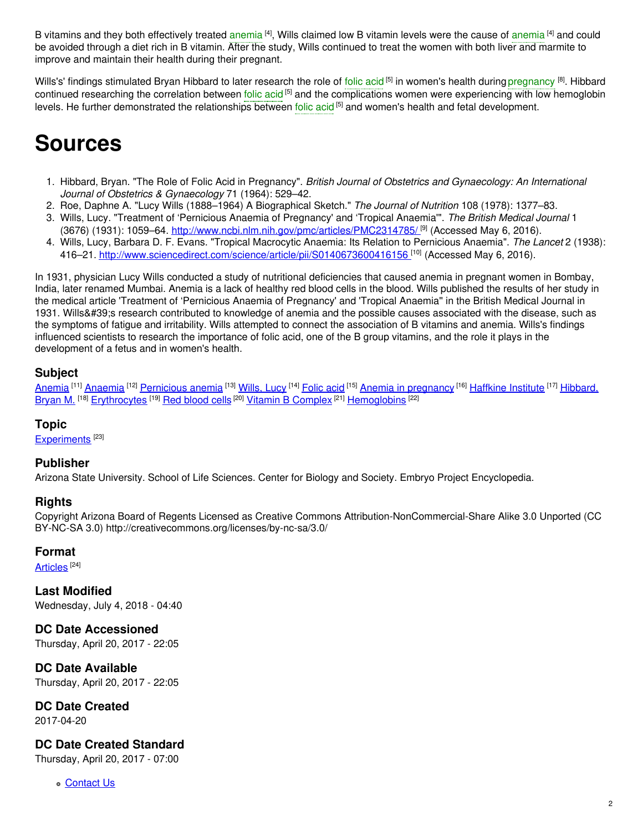B vitamins and they both effectively treated [anemia](https://embryo.asu.edu/search?text=anemia) <sup>[4]</sup>, Wills claimed low B vitamin levels were the cause of anemia <sup>[4]</sup> and could be avoided through a diet rich in B vitamin. After the study, Wills continued to treat the women with both liver and marmite to improve and maintain their health during their pregnant.

Wills's' findings stimulated Bryan Hibbard to later research the role of [folic](https://embryo.asu.edu/search?text=folic%20acid) acid <sup>[5]</sup> in women's health during [pregnancy](https://embryo.asu.edu/search?text=pregnancy) <sup>[8]</sup>. Hibbard continued researching the correlation between [folic](https://embryo.asu.edu/search?text=folic%20acid) acid <sup>[5]</sup> and the complications women were experiencing with low hemoglobin levels. He further demonstrated the relationships between [folic](https://embryo.asu.edu/search?text=folic%20acid) acid <sup>[5]</sup> and women's health and fetal development.

## **Sources**

- 1. Hibbard, Bryan. "The Role of Folic Acid in Pregnancy". *British Journal of Obstetrics and Gynaecology: An International Journal of Obstetrics & Gynaecology* 71 (1964): 529–42.
- 2. Roe, Daphne A. "Lucy Wills (1888–1964) A Biographical Sketch." *The Journal of Nutrition* 108 (1978): 1377–83.
- 3. Wills, Lucy. "Treatment of 'Pernicious Anaemia of Pregnancy' and 'Tropical Anaemia'". *The British Medical Journal* 1 (3676) (1931): 1059–64. <u>[http://www.ncbi.nlm.nih.gov/pmc/articles/PMC2314785/](http://www.ncbi.nlm.nih.gov/pmc/articles/PMC2314785/%20) <sup>[9]</sup> (Accessed May 6, 2016).</u>
- 4. Wills, Lucy, Barbara D. F. Evans. "Tropical Macrocytic Anaemia: Its Relation to Pernicious Anaemia". *The Lancet* 2 (1938): 416–21. [http://www.sciencedirect.com/science/article/pii/S0140673600416156](https://www.sciencedirect.com/science/article/pii/S0140673600416156) <sup>[10]</sup> (Accessed May 6, 2016).

In 1931, physician Lucy Wills conducted a study of nutritional deficiencies that caused anemia in pregnant women in Bombay, India, later renamed Mumbai. Anemia is a lack of healthy red blood cells in the blood. Wills published the results of her study in the medical article 'Treatment of 'Pernicious Anaemia of Pregnancy' and 'Tropical Anaemia'' in the British Medical Journal in 1931. Wills' sresearch contributed to knowledge of anemia and the possible causes associated with the disease, such as the symptoms of fatigue and irritability. Wills attempted to connect the association of B vitamins and anemia. Wills's findings influenced scientists to research the importance of folic acid, one of the B group vitamins, and the role it plays in the development of a fetus and in women's health.

### **Subject**

<mark>[Anemia](https://embryo.asu.edu/library-congress-subject-headings/anemia) <sup>[11]</sup> [Anaemia](https://embryo.asu.edu/library-congress-subject-headings/anaemia) <sup>[12]</sup> [Pernicious](https://embryo.asu.edu/library-congress-subject-headings/pernicious-anemia) anemia <sup>[13]</sup> [Wills,](https://embryo.asu.edu/library-congress-subject-headings/wills-lucy) Lucy <sup>[14]</sup> [Folic](https://embryo.asu.edu/library-congress-subject-headings/folic-acid) acid <sup>[15]</sup> Anemia in [pregnancy](https://embryo.asu.edu/library-congress-subject-headings/anemia-pregnancy) <sup>[16]</sup> [Haffkine](https://embryo.asu.edu/library-congress-subject-headings/haffkine-institute) Institute <sup>[17]</sup> Hibbard,</mark> Bryan M. <sup>[18]</sup> [Erythrocytes](https://embryo.asu.edu/library-congress-subject-headings/erythrocytes) <sup>[19]</sup> Red [blood](https://embryo.asu.edu/library-congress-subject-headings/red-blood-cells) cells <sup>[20]</sup> Vitamin B [Complex](https://embryo.asu.edu/medical-subject-headings/vitamin-b-complex) <sup>[21]</sup> [Hemoglobins](https://embryo.asu.edu/library-congress-subject-headings/hibbard-bryan-m) <sup>[22]</sup>

#### **Topic**

[Experiments](https://embryo.asu.edu/topics/experiments)<sup>[23]</sup>

#### **Publisher**

Arizona State University. School of Life Sciences. Center for Biology and Society. Embryo Project Encyclopedia.

#### **Rights**

Copyright Arizona Board of Regents Licensed as Creative Commons Attribution-NonCommercial-Share Alike 3.0 Unported (CC BY-NC-SA 3.0) http://creativecommons.org/licenses/by-nc-sa/3.0/

#### **Format**

<u>[Articles](https://embryo.asu.edu/formats/articles)</u>  $^{[24]}$ 

**Last Modified** Wednesday, July 4, 2018 - 04:40

**DC Date Accessioned** Thursday, April 20, 2017 - 22:05

**DC Date Available** Thursday, April 20, 2017 - 22:05

**DC Date Created**

2017-04-20

#### **DC Date Created Standard**

Thursday, April 20, 2017 - 07:00

**c** [Contact](https://embryo.asu.edu/contact) Us